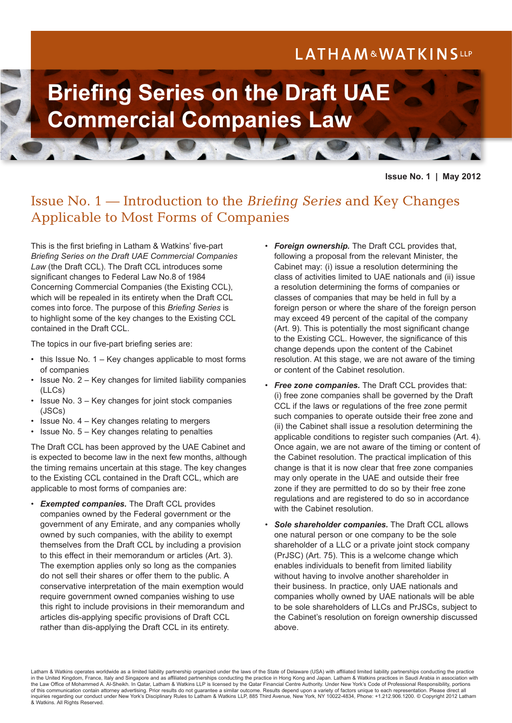# LATHAM&WATKINSLLP



**Issue No. 1 | May 2012**

# Issue No. 1 — Introduction to the *Briefing Series* and Key Changes Applicable to Most Forms of Companies

This is the first briefing in Latham & Watkins' five-part *Briefing Series on the Draft UAE Commercial Companies Law* (the Draft CCL). The Draft CCL introduces some significant changes to Federal Law No.8 of 1984 Concerning Commercial Companies (the Existing CCL), which will be repealed in its entirety when the Draft CCL comes into force. The purpose of this *Briefing Series* is to highlight some of the key changes to the Existing CCL contained in the Draft CCL.

The topics in our five-part briefing series are:

- this Issue No. 1 Key changes applicable to most forms of companies
- Issue No. 2 Key changes for limited liability companies (LLCs)
- Issue No. 3 Key changes for joint stock companies (JSCs)
- Issue No.  $4 -$  Key changes relating to mergers
- Issue No. 5 Key changes relating to penalties

The Draft CCL has been approved by the UAE Cabinet and is expected to become law in the next few months, although the timing remains uncertain at this stage. The key changes to the Existing CCL contained in the Draft CCL, which are applicable to most forms of companies are:

• *Exempted companies.* The Draft CCL provides companies owned by the Federal government or the government of any Emirate, and any companies wholly owned by such companies, with the ability to exempt themselves from the Draft CCL by including a provision to this effect in their memorandum or articles (Art. 3). The exemption applies only so long as the companies do not sell their shares or offer them to the public. A conservative interpretation of the main exemption would require government owned companies wishing to use this right to include provisions in their memorandum and articles dis-applying specific provisions of Draft CCL rather than dis-applying the Draft CCL in its entirety.

- *Foreign ownership.* The Draft CCL provides that, following a proposal from the relevant Minister, the Cabinet may: (i) issue a resolution determining the class of activities limited to UAE nationals and (ii) issue a resolution determining the forms of companies or classes of companies that may be held in full by a foreign person or where the share of the foreign person may exceed 49 percent of the capital of the company (Art. 9). This is potentially the most significant change to the Existing CCL. However, the significance of this change depends upon the content of the Cabinet resolution. At this stage, we are not aware of the timing or content of the Cabinet resolution.
- **Free zone companies.** The Draft CCL provides that: (i) free zone companies shall be governed by the Draft CCL if the laws or regulations of the free zone permit such companies to operate outside their free zone and (ii) the Cabinet shall issue a resolution determining the applicable conditions to register such companies (Art. 4). Once again, we are not aware of the timing or content of the Cabinet resolution. The practical implication of this change is that it is now clear that free zone companies may only operate in the UAE and outside their free zone if they are permitted to do so by their free zone regulations and are registered to do so in accordance with the Cabinet resolution.
- *Sole shareholder companies.* The Draft CCL allows one natural person or one company to be the sole shareholder of a LLC or a private joint stock company (PrJSC) (Art. 75). This is a welcome change which enables individuals to benefit from limited liability without having to involve another shareholder in their business. In practice, only UAE nationals and companies wholly owned by UAE nationals will be able to be sole shareholders of LLCs and PrJSCs, subject to the Cabinet's resolution on foreign ownership discussed above.

Latham & Watkins operates worldwide as a limited liability partnership organized under the laws of the State of Delaware (USA) with affiliated limited liability partnerships conducting the practice in the United Kingdom, France, Italy and Singapore and as affiliated partnerships conducting the practice in Hong Kong and Japan. Latham & Watkins practices in Saudi Arabia in association with the Law Office of Mohammed A. Al-Sheikh. In Qatar, Latham & Watkins LLP is licensed by the Qatar Financial Centre Authority. Under New York's Code of Professional Responsibility, portions of this communication contain attorney advertising. Prior results do not guarantee a similar outcome. Results depend upon a variety of factors unique to each representation. Please direct all inquiries regarding our conduct under New York's Disciplinary Rules to Latham & Watkins LLP, 885 Third Avenue, New York, NY 10022-4834, Phone: +1.212.906.1200. © Copyright 2012 Latham & Watkins. All Rights Reserved.